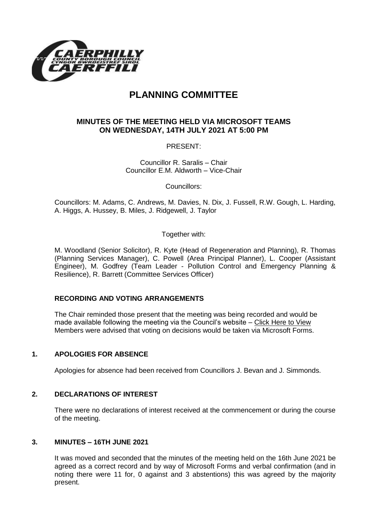

# **PLANNING COMMITTEE**

## **MINUTES OF THE MEETING HELD VIA MICROSOFT TEAMS ON WEDNESDAY, 14TH JULY 2021 AT 5:00 PM**

PRESENT:

Councillor R. Saralis – Chair Councillor E.M. Aldworth – Vice-Chair

Councillors:

Councillors: M. Adams, C. Andrews, M. Davies, N. Dix, J. Fussell, R.W. Gough, L. Harding, A. Higgs, A. Hussey, B. Miles, J. Ridgewell, J. Taylor

Together with:

M. Woodland (Senior Solicitor), R. Kyte (Head of Regeneration and Planning), R. Thomas (Planning Services Manager), C. Powell (Area Principal Planner), L. Cooper (Assistant Engineer), M. Godfrey (Team Leader - Pollution Control and Emergency Planning & Resilience), R. Barrett (Committee Services Officer)

#### **RECORDING AND VOTING ARRANGEMENTS**

The Chair reminded those present that the meeting was being recorded and would be made available following the meeting via the Council's website – [Click Here to View](https://www.caerphilly.gov.uk/My-Council/Meetings,-agendas,-minutes-and-reports/Council-meetings?lang=en-GB) Members were advised that voting on decisions would be taken via Microsoft Forms.

#### **1. APOLOGIES FOR ABSENCE**

Apologies for absence had been received from Councillors J. Bevan and J. Simmonds.

#### **2. DECLARATIONS OF INTEREST**

There were no declarations of interest received at the commencement or during the course of the meeting.

#### **3. MINUTES – 16TH JUNE 2021**

It was moved and seconded that the minutes of the meeting held on the 16th June 2021 be agreed as a correct record and by way of Microsoft Forms and verbal confirmation (and in noting there were 11 for, 0 against and 3 abstentions) this was agreed by the majority present.